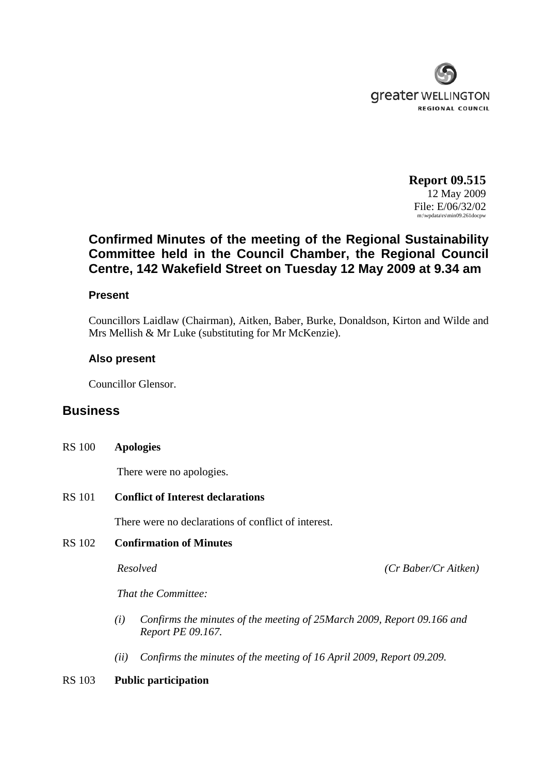

**Report 09.515** 12 May 2009 File: E/06/32/02 m:\wpdata\rs\min09.261docpw

# **Confirmed Minutes of the meeting of the Regional Sustainability Committee held in the Council Chamber, the Regional Council Centre, 142 Wakefield Street on Tuesday 12 May 2009 at 9.34 am**

#### **Present**

Councillors Laidlaw (Chairman), Aitken, Baber, Burke, Donaldson, Kirton and Wilde and Mrs Mellish & Mr Luke (substituting for Mr McKenzie).

## **Also present**

Councillor Glensor.

## **Business**

#### RS 100 **Apologies**

There were no apologies.

RS 101 **Conflict of Interest declarations**

There were no declarations of conflict of interest.

## RS 102 **Confirmation of Minutes**

*Resolved (Cr Baber/Cr Aitken)*

*That the Committee:* 

- *(i) Confirms the minutes of the meeting of 25March 2009, Report 09.166 and Report PE 09.167.*
- *(ii) Confirms the minutes of the meeting of 16 April 2009, Report 09.209.*

#### RS 103 **Public participation**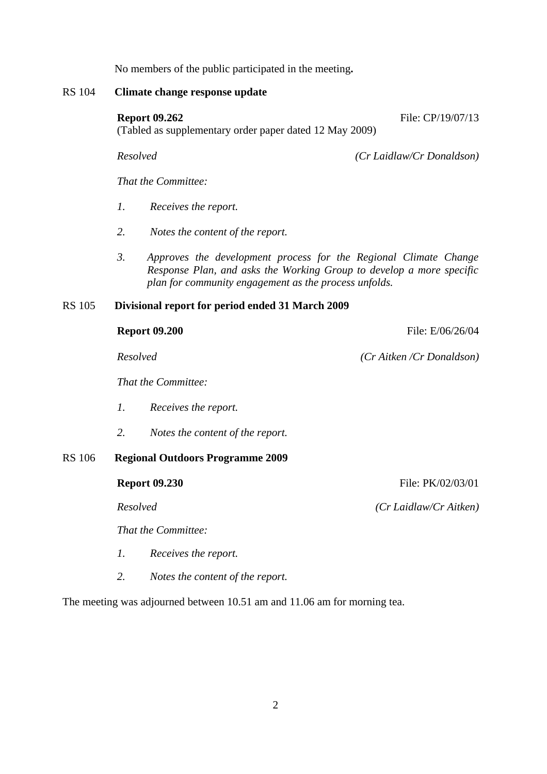No members of the public participated in the meeting**.**

#### RS 104 **Climate change response update**

#### **Report 09.262** File: CP/19/07/13

(Tabled as supplementary order paper dated 12 May 2009)

RS 106 **Regional Outdoors Programme 2009**

*Resolved (Cr Laidlaw/Cr Donaldson)*

*That the Committee:* 

- *1. Receives the report.*
- *2. Notes the content of the report.*
- *3. Approves the development process for the Regional Climate Change Response Plan, and asks the Working Group to develop a more specific plan for community engagement as the process unfolds.*

#### RS 105 **Divisional report for period ended 31 March 2009**

|    | <b>Report 09.200</b>                    | File: E/06/26/04         |
|----|-----------------------------------------|--------------------------|
|    | Resolved                                | (Cr Aitken/Cr Donaldson) |
|    | That the Committee:                     |                          |
| 1. | Receives the report.                    |                          |
| 2. | Notes the content of the report.        |                          |
|    | <b>Regional Outdoors Programme 2009</b> |                          |
|    | <b>Report 09.230</b>                    | File: PK/02/03/01        |
|    | Resolved                                | (Cr Laidlaw/Cr Aitken)   |
|    | That the Committee:                     |                          |
| Ι. | Receives the report.                    |                          |

*2. Notes the content of the report.* 

The meeting was adjourned between 10.51 am and 11.06 am for morning tea.